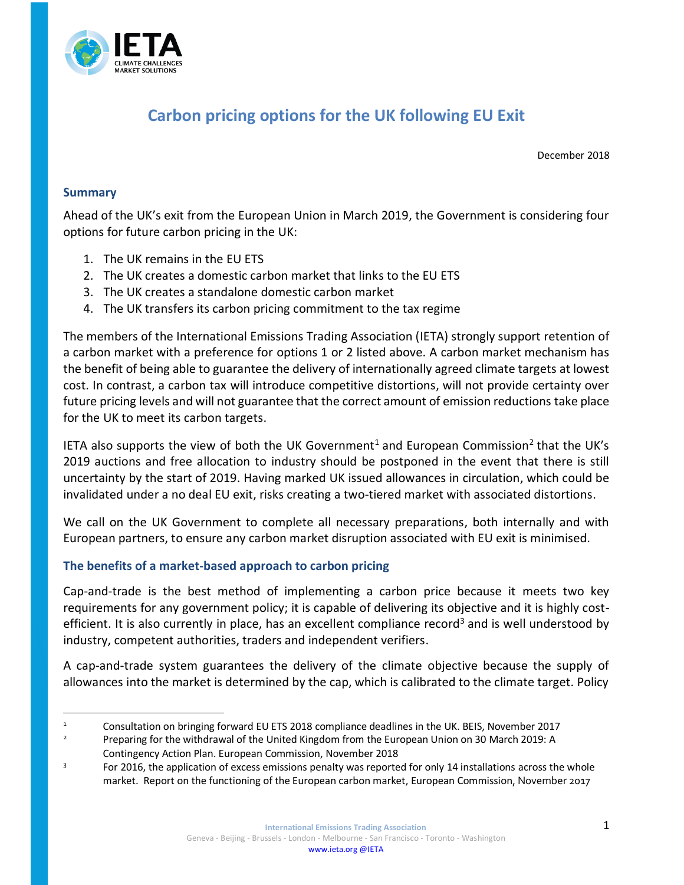

# **Carbon pricing options for the UK following EU Exit**

December 2018

#### **Summary**

 $\overline{a}$ 

Ahead of the UK's exit from the European Union in March 2019, the Government is considering four options for future carbon pricing in the UK:

- 1. The UK remains in the EU ETS
- 2. The UK creates a domestic carbon market that links to the EU ETS
- 3. The UK creates a standalone domestic carbon market
- 4. The UK transfers its carbon pricing commitment to the tax regime

The members of the International Emissions Trading Association (IETA) strongly support retention of a carbon market with a preference for options 1 or 2 listed above. A carbon market mechanism has the benefit of being able to guarantee the delivery of internationally agreed climate targets at lowest cost. In contrast, a carbon tax will introduce competitive distortions, will not provide certainty over future pricing levels and will not guarantee that the correct amount of emission reductions take place for the UK to meet its carbon targets.

IETA also supports the view of both the UK Government<sup>1</sup> and European Commission<sup>2</sup> that the UK's 2019 auctions and free allocation to industry should be postponed in the event that there is still uncertainty by the start of 2019. Having marked UK issued allowances in circulation, which could be invalidated under a no deal EU exit, risks creating a two-tiered market with associated distortions.

We call on the UK Government to complete all necessary preparations, both internally and with European partners, to ensure any carbon market disruption associated with EU exit is minimised.

### **The benefits of a market-based approach to carbon pricing**

Cap-and-trade is the best method of implementing a carbon price because it meets two key requirements for any government policy; it is capable of delivering its objective and it is highly costefficient. It is also currently in place, has an excellent compliance record<sup>3</sup> and is well understood by industry, competent authorities, traders and independent verifiers.

A cap-and-trade system guarantees the delivery of the climate objective because the supply of allowances into the market is determined by the cap, which is calibrated to the climate target. Policy

<sup>&</sup>lt;sup>1</sup> Consultation on bringing forward EU ETS 2018 compliance deadlines in the UK. BEIS, November 2017<br>Proparing for the withdrawal of the United Kingdom from the European Union on 20 March 2019; A

<sup>2</sup> Preparing for the withdrawal of the United Kingdom from the European Union on 30 March 2019: A Contingency Action Plan. European Commission, November 2018

<sup>3</sup> For 2016, the application of excess emissions penalty was reported for only 14 installations across the whole market. Report on the functioning of the European carbon market, European Commission, November 2017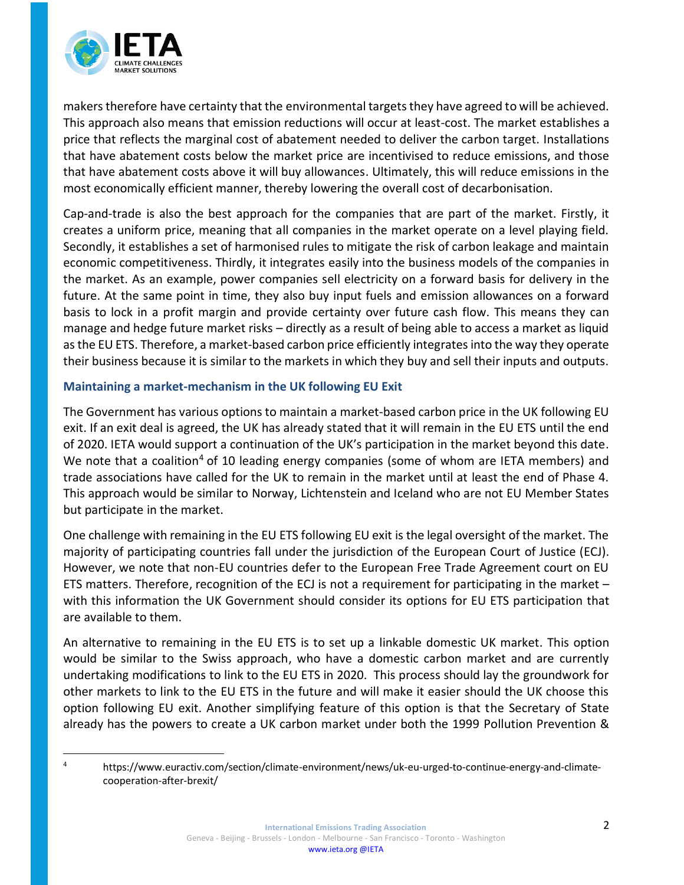

makers therefore have certainty that the environmental targets they have agreed to will be achieved. This approach also means that emission reductions will occur at least-cost. The market establishes a price that reflects the marginal cost of abatement needed to deliver the carbon target. Installations that have abatement costs below the market price are incentivised to reduce emissions, and those that have abatement costs above it will buy allowances. Ultimately, this will reduce emissions in the most economically efficient manner, thereby lowering the overall cost of decarbonisation.

Cap-and-trade is also the best approach for the companies that are part of the market. Firstly, it creates a uniform price, meaning that all companies in the market operate on a level playing field. Secondly, it establishes a set of harmonised rules to mitigate the risk of carbon leakage and maintain economic competitiveness. Thirdly, it integrates easily into the business models of the companies in the market. As an example, power companies sell electricity on a forward basis for delivery in the future. At the same point in time, they also buy input fuels and emission allowances on a forward basis to lock in a profit margin and provide certainty over future cash flow. This means they can manage and hedge future market risks – directly as a result of being able to access a market as liquid as the EU ETS. Therefore, a market-based carbon price efficiently integrates into the way they operate their business because it is similar to the markets in which they buy and sell their inputs and outputs.

### **Maintaining a market-mechanism in the UK following EU Exit**

The Government has various options to maintain a market-based carbon price in the UK following EU exit. If an exit deal is agreed, the UK has already stated that it will remain in the EU ETS until the end of 2020. IETA would support a continuation of the UK's participation in the market beyond this date. We note that a coalition<sup>4</sup> of 10 leading energy companies (some of whom are IETA members) and trade associations have called for the UK to remain in the market until at least the end of Phase 4. This approach would be similar to Norway, Lichtenstein and Iceland who are not EU Member States but participate in the market.

One challenge with remaining in the EU ETS following EU exit is the legal oversight of the market. The majority of participating countries fall under the jurisdiction of the European Court of Justice (ECJ). However, we note that non-EU countries defer to the European Free Trade Agreement court on EU ETS matters. Therefore, recognition of the ECJ is not a requirement for participating in the market – with this information the UK Government should consider its options for EU ETS participation that are available to them.

An alternative to remaining in the EU ETS is to set up a linkable domestic UK market. This option would be similar to the Swiss approach, who have a domestic carbon market and are currently undertaking modifications to link to the EU ETS in 2020. This process should lay the groundwork for other markets to link to the EU ETS in the future and will make it easier should the UK choose this option following EU exit. Another simplifying feature of this option is that the Secretary of State already has the powers to create a UK carbon market under both the 1999 Pollution Prevention &

<sup>4</sup> https://www.euractiv.com/section/climate-environment/news/uk-eu-urged-to-continue-energy-and-climatecooperation-after-brexit/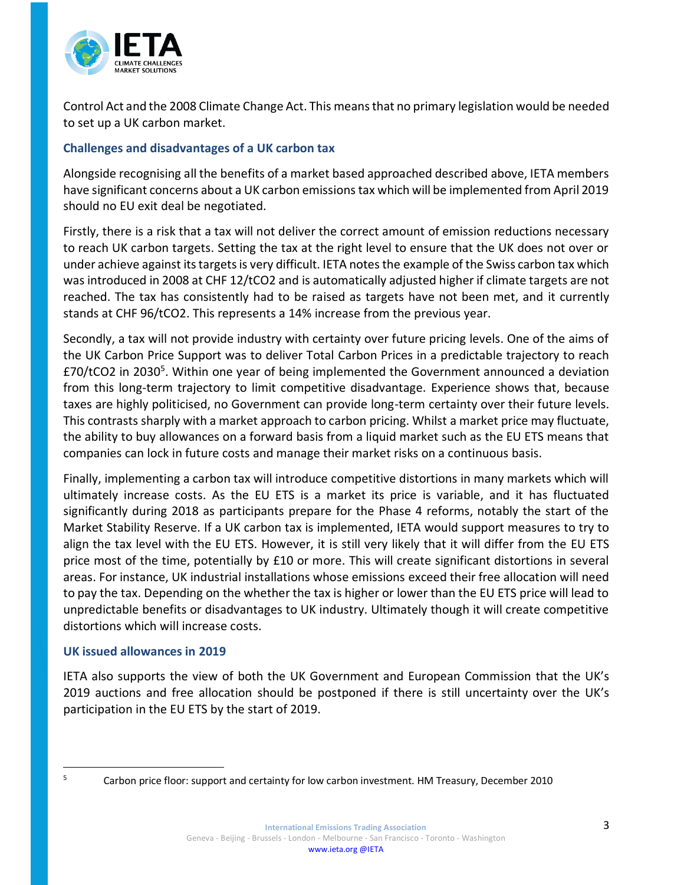

Control Act and the 2008 Climate Change Act. This means that no primary legislation would be needed to set up a UK carbon market.

## **Challenges and disadvantages of a UK carbon tax**

Alongside recognising all the benefits of a market based approached described above, IETA members have significant concerns about a UK carbon emissions tax which will be implemented from April 2019 should no EU exit deal be negotiated.

Firstly, there is a risk that a tax will not deliver the correct amount of emission reductions necessary to reach UK carbon targets. Setting the tax at the right level to ensure that the UK does not over or under achieve against its targets is very difficult. IETA notes the example of the Swiss carbon tax which was introduced in 2008 at CHF 12/tCO2 and is automatically adjusted higher if climate targets are not reached. The tax has consistently had to be raised as targets have not been met, and it currently stands at CHF 96/tCO2. This represents a 14% increase from the previous year.

Secondly, a tax will not provide industry with certainty over future pricing levels. One of the aims of the UK Carbon Price Support was to deliver Total Carbon Prices in a predictable trajectory to reach £70/tCO2 in 2030<sup>5</sup>. Within one year of being implemented the Government announced a deviation from this long-term trajectory to limit competitive disadvantage. Experience shows that, because taxes are highly politicised, no Government can provide long-term certainty over their future levels. This contrasts sharply with a market approach to carbon pricing. Whilst a market price may fluctuate, the ability to buy allowances on a forward basis from a liquid market such as the EU ETS means that companies can lock in future costs and manage their market risks on a continuous basis.

Finally, implementing a carbon tax will introduce competitive distortions in many markets which will ultimately increase costs. As the EU ETS is a market its price is variable, and it has fluctuated significantly during 2018 as participants prepare for the Phase 4 reforms, notably the start of the Market Stability Reserve. If a UK carbon tax is implemented, IETA would support measures to try to align the tax level with the EU ETS. However, it is still very likely that it will differ from the EU ETS price most of the time, potentially by £10 or more. This will create significant distortions in several areas. For instance, UK industrial installations whose emissions exceed their free allocation will need to pay the tax. Depending on the whether the tax is higher or lower than the EU ETS price will lead to unpredictable benefits or disadvantages to UK industry. Ultimately though it will create competitive distortions which will increase costs.

### **UK issued allowances in 2019**

IETA also supports the view of both the UK Government and European Commission that the UK's 2019 auctions and free allocation should be postponed if there is still uncertainty over the UK's participation in the EU ETS by the start of 2019.

 $\overline{a}$ 

<sup>&</sup>lt;sup>5</sup> Carbon price floor: support and certainty for low carbon investment. HM Treasury, December 2010